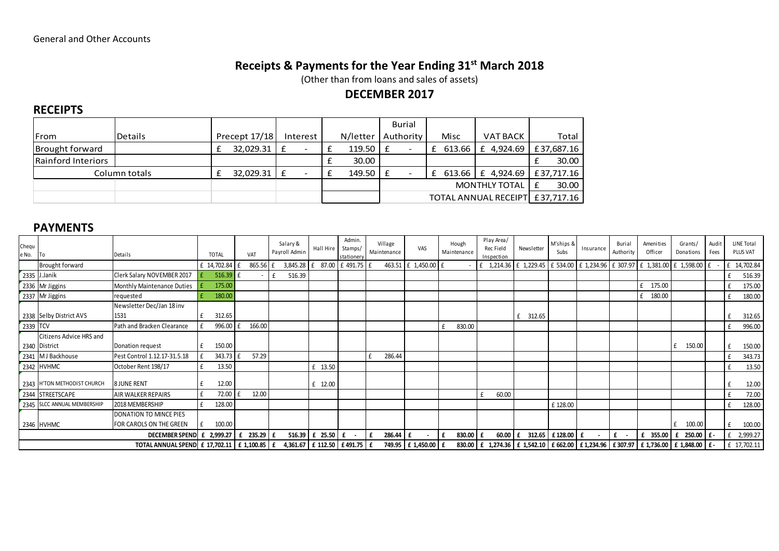# Receipts & Payments for the Year Ending 31<sup>st</sup> March 2018

(Other than from loans and sales of assets)

## DECEMBER 2017

#### **RECEIPTS**

|                    |                |               |   |          |          | Burial                        |                                  |        |                 |   |            |
|--------------------|----------------|---------------|---|----------|----------|-------------------------------|----------------------------------|--------|-----------------|---|------------|
| <b>IFrom</b>       | <b>Details</b> | Precept 17/18 |   | Interest | N/letter | Authority                     |                                  | Misc   | <b>VAT BACK</b> |   | Total      |
| Brought forward    |                | 32,029.31     | £ |          | 119.50   | f<br>$\overline{\phantom{0}}$ |                                  | 613.66 | £ 4,924.69      |   | £37,687.16 |
| Rainford Interiors |                |               |   |          | 30.00    |                               |                                  |        |                 |   | 30.00      |
|                    | Column totals  | 32,029.31     | £ |          | 149.50   | £                             |                                  | 613.66 | £ 4,924.69      |   | £37,717.16 |
|                    |                |               |   |          |          |                               | <b>MONTHLY TOTAL</b>             |        |                 | £ | 30.00      |
|                    |                |               |   |          |          |                               | TOTAL ANNUAL RECEIPT E 37,717.16 |        |                 |   |            |

#### PAYMENTS

| Chequ<br>e No. | l To                        | Details                                                                            | <b>TOTAL</b> |   | VAT      | Salary &<br>Payroll Admin | Hall Hire   Stamps/ | Admin.<br>stationery | Village<br>Maintenance | VAS                            | Hough<br>Maintenance | Play Area/<br>Rec Field<br>Inspection                                                                                                                                                                  | Newsletter  | M'ships &<br>Subs | Insurance | Burial<br>Authority | Amenities<br>Officer | Grants/<br>Donations | Audit<br>Fees | <b>LINE Total</b><br>PLUS VAT |
|----------------|-----------------------------|------------------------------------------------------------------------------------|--------------|---|----------|---------------------------|---------------------|----------------------|------------------------|--------------------------------|----------------------|--------------------------------------------------------------------------------------------------------------------------------------------------------------------------------------------------------|-------------|-------------------|-----------|---------------------|----------------------|----------------------|---------------|-------------------------------|
|                | Brought forward             |                                                                                    | £ 14,702.84  |   | 865.56   | 3,845.28                  | 87.00               | £491.75              |                        | 463.51 £ 1,450.00 £            |                      | $\vert$ £ 1,214.36 $\vert$ £ 1,229.45 $\vert$ £ 534.00 $\vert$ £ 1,234.96 $\vert$ £ 307.97 $\vert$ £ 1,381.00 $\vert$ £ 1,598.00 $\vert$ £                                                             |             |                   |           |                     |                      |                      |               | 14,702.84                     |
|                | 2335 J.Janik                | Clerk Salary NOVEMBER 2017                                                         | 516.39       |   |          | 516.39                    |                     |                      |                        |                                |                      |                                                                                                                                                                                                        |             |                   |           |                     |                      |                      |               | 516.39                        |
|                | 2336 Mr Jiggins             | <b>Monthly Maintenance Duties</b>                                                  | 175.00       |   |          |                           |                     |                      |                        |                                |                      |                                                                                                                                                                                                        |             |                   |           |                     | 175.00               |                      |               | 175.00                        |
|                | 2337 Mr Jiggins             | requested                                                                          | 180.00       |   |          |                           |                     |                      |                        |                                |                      |                                                                                                                                                                                                        |             |                   |           |                     | 180.00               |                      |               | 180.00                        |
|                |                             | Newsletter Dec/Jan 18 inv                                                          |              |   |          |                           |                     |                      |                        |                                |                      |                                                                                                                                                                                                        |             |                   |           |                     |                      |                      |               |                               |
|                | 2338 Selby District AVS     | 1531                                                                               | 312.65       |   |          |                           |                     |                      |                        |                                |                      |                                                                                                                                                                                                        | 312.65<br>£ |                   |           |                     |                      |                      |               | 312.65                        |
| 2339 TCV       |                             | Path and Bracken Clearance                                                         | 996.00       |   | 166.00   |                           |                     |                      |                        |                                | 830.00               |                                                                                                                                                                                                        |             |                   |           |                     |                      |                      |               | 996.00                        |
|                | Citizens Advice HRS and     |                                                                                    |              |   |          |                           |                     |                      |                        |                                |                      |                                                                                                                                                                                                        |             |                   |           |                     |                      |                      |               |                               |
|                | 2340 District               | Donation request                                                                   | 150.00       |   |          |                           |                     |                      |                        |                                |                      |                                                                                                                                                                                                        |             |                   |           |                     |                      | 150.00               |               | 150.00                        |
|                | 2341 MJ Backhouse           | Pest Control 1.12.17-31.5.18                                                       | 343.73       |   | 57.29    |                           |                     |                      | 286.44                 |                                |                      |                                                                                                                                                                                                        |             |                   |           |                     |                      |                      |               | 343.73                        |
|                | 2342 HVHMC                  | October Rent 198/17                                                                | 13.50        |   |          |                           | £ 13.50             |                      |                        |                                |                      |                                                                                                                                                                                                        |             |                   |           |                     |                      |                      |               | 13.50                         |
|                | 2343 H'TON METHODIST CHURCH | <b>8 JUNE RENT</b>                                                                 | 12.00        |   |          |                           | £ 12.00             |                      |                        |                                |                      |                                                                                                                                                                                                        |             |                   |           |                     |                      |                      |               | 12.00                         |
|                | 2344 STREETSCAPE            | <b>AIR WALKER REPAIRS</b>                                                          | 72.00        |   | 12.00    |                           |                     |                      |                        |                                |                      | 60.00                                                                                                                                                                                                  |             |                   |           |                     |                      |                      |               | 72.00                         |
|                | 2345 SLCC ANNUAL MEMBERSHIP | 2018 MEMBERSHIP                                                                    | 128.00       |   |          |                           |                     |                      |                        |                                |                      |                                                                                                                                                                                                        |             | £128.00           |           |                     |                      |                      |               | 128.00                        |
|                |                             | DONATION TO MINCE PIES                                                             |              |   |          |                           |                     |                      |                        |                                |                      |                                                                                                                                                                                                        |             |                   |           |                     |                      |                      |               |                               |
|                | 2346 HVHMC                  | FOR CAROLS ON THE GREEN                                                            | 100.00       |   |          |                           |                     |                      |                        |                                |                      |                                                                                                                                                                                                        |             |                   |           |                     |                      | 100.00               |               | 100.00                        |
|                |                             | DECEMBER SPEND E                                                                   | 2,999.27     | £ | 235.29 £ |                           |                     |                      | 286.44<br>£            | Ι£<br>$\overline{\phantom{a}}$ | $830.00$ £<br>Ι£     | $60.00 \text{ }$ f                                                                                                                                                                                     |             | 312.65 £128.00 £  |           | $f -$               | £ 355.00             | $250.00$ $f -$<br>£  |               | 2,999.27                      |
|                |                             | TOTAL ANNUAL SPEND E 17,702.11   £ 1,100.85   £ 4,361.67   £ 112.50   £ 491.75   £ |              |   |          |                           |                     |                      |                        | 749.95 £ 1,450.00 £            |                      | 830.00 $\mathbf{f}$ f 1,274.36 $\mathbf{f}$ f 1,542.10 $\mathbf{f}$ f 662.00 $\mathbf{f}$ f 1,234.96 $\mathbf{f}$ f 307.97 $\mathbf{f}$ f 1,736.00 $\mathbf{f}$ f 1,848.00 $\mathbf{f}$ f $\mathbf{f}$ |             |                   |           |                     |                      |                      |               | £ 17,702.11                   |